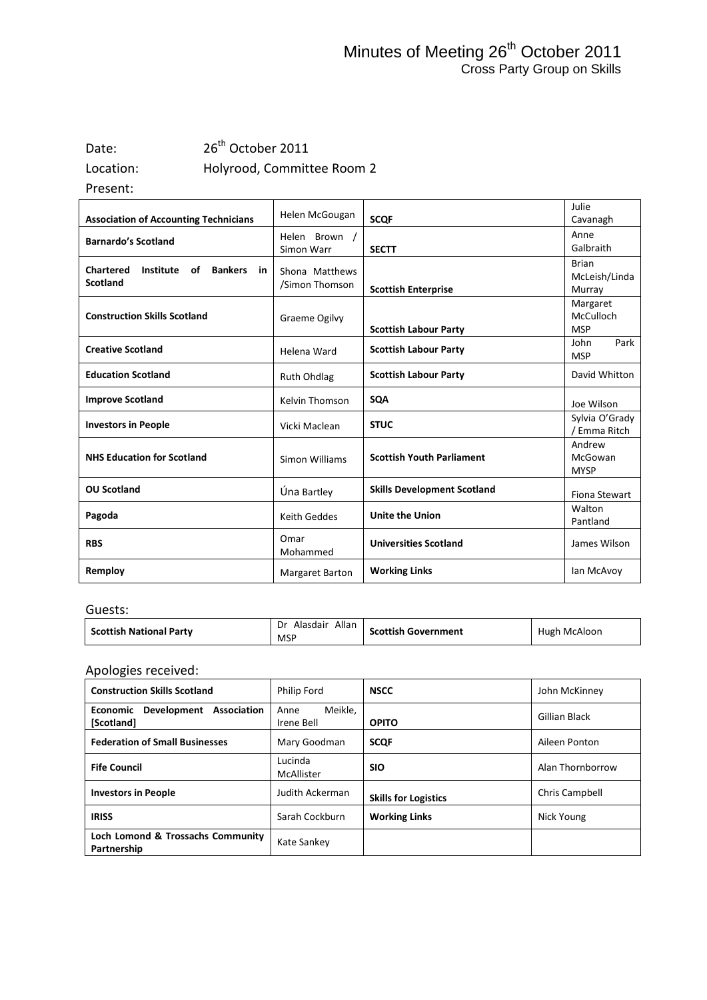## Date: 26<sup>th</sup> October 2011 Location: Holyrood, Committee Room 2

Present:

| <b>Association of Accounting Technicians</b>                                   | Helen McGougan                   | <b>SCQF</b>                        | Julie<br>Cavanagh                       |
|--------------------------------------------------------------------------------|----------------------------------|------------------------------------|-----------------------------------------|
| <b>Barnardo's Scotland</b>                                                     | Helen Brown /<br>Simon Warr      | <b>SECTT</b>                       | Anne<br>Galbraith                       |
| <b>Chartered</b><br>Institute<br>of<br><b>Bankers</b><br>in<br><b>Scotland</b> | Shona Matthews<br>/Simon Thomson | <b>Scottish Enterprise</b>         | <b>Brian</b><br>McLeish/Linda<br>Murray |
| <b>Construction Skills Scotland</b>                                            | <b>Graeme Ogilvy</b>             | <b>Scottish Labour Party</b>       | Margaret<br>McCulloch<br><b>MSP</b>     |
| <b>Creative Scotland</b>                                                       | Helena Ward                      | <b>Scottish Labour Party</b>       | Park<br>John<br><b>MSP</b>              |
| <b>Education Scotland</b>                                                      | <b>Ruth Ohdlag</b>               | <b>Scottish Labour Party</b>       | David Whitton                           |
| <b>Improve Scotland</b>                                                        | Kelvin Thomson                   | <b>SQA</b>                         | Joe Wilson                              |
| <b>Investors in People</b>                                                     | Vicki Maclean                    | <b>STUC</b>                        | Sylvia O'Grady<br>/ Emma Ritch          |
| <b>NHS Education for Scotland</b>                                              | Simon Williams                   | <b>Scottish Youth Parliament</b>   | Andrew<br>McGowan<br><b>MYSP</b>        |
| <b>OU Scotland</b>                                                             | Úna Bartley                      | <b>Skills Development Scotland</b> | Fiona Stewart                           |
| Pagoda                                                                         | <b>Keith Geddes</b>              | <b>Unite the Union</b>             | Walton<br>Pantland                      |
| <b>RBS</b>                                                                     | Omar<br>Mohammed                 | <b>Universities Scotland</b>       | James Wilson                            |
| Remploy                                                                        | <b>Margaret Barton</b>           | <b>Working Links</b>               | lan McAvoy                              |

#### Guests:

| <b>Scottish National Party</b> | Allan<br>Dr<br>Alasdair<br>MSP | <b>Scottish Government</b> | Hugh McAloon |
|--------------------------------|--------------------------------|----------------------------|--------------|
|--------------------------------|--------------------------------|----------------------------|--------------|

### Apologies received:

| <b>Construction Skills Scotland</b>                  | Philip Ford                   | <b>NSCC</b>                 | John McKinney    |
|------------------------------------------------------|-------------------------------|-----------------------------|------------------|
| Association<br>Development<br>Economic<br>[Scotland] | Meikle,<br>Anne<br>Irene Bell | <b>OPITO</b>                | Gillian Black    |
| <b>Federation of Small Businesses</b>                | Mary Goodman                  | <b>SCOF</b>                 | Aileen Ponton    |
| <b>Fife Council</b>                                  | Lucinda<br>McAllister         | <b>SIO</b>                  | Alan Thornborrow |
| <b>Investors in People</b>                           | Judith Ackerman               | <b>Skills for Logistics</b> | Chris Campbell   |
| <b>IRISS</b>                                         | Sarah Cockburn                | <b>Working Links</b>        | Nick Young       |
| Loch Lomond & Trossachs Community<br>Partnership     | Kate Sankey                   |                             |                  |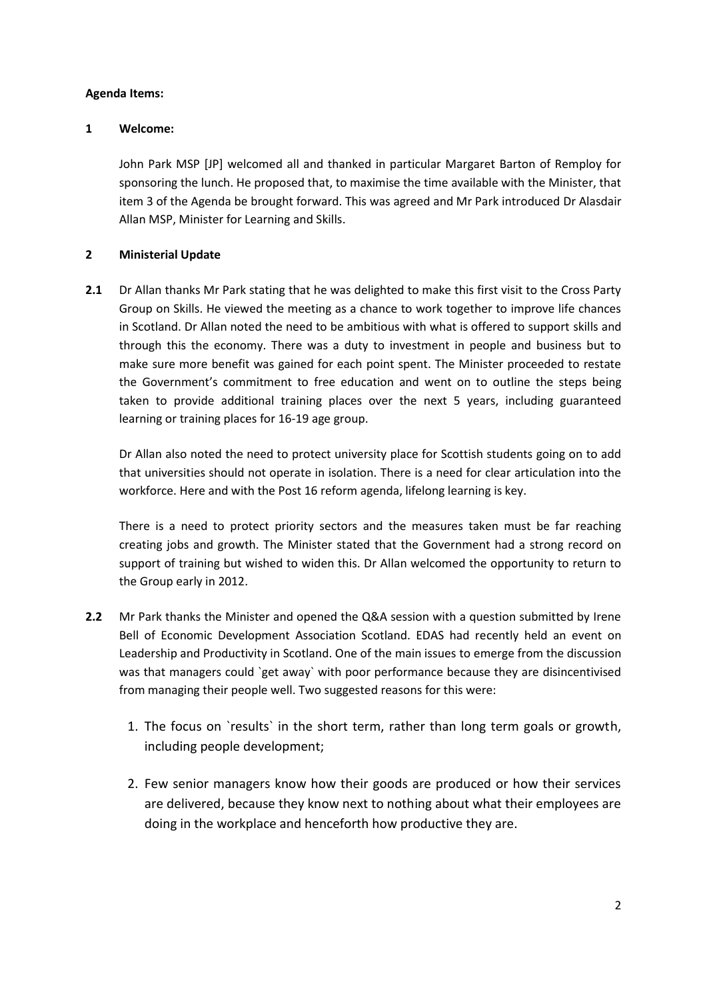#### **Agenda Items:**

#### **1 Welcome:**

John Park MSP [JP] welcomed all and thanked in particular Margaret Barton of Remploy for sponsoring the lunch. He proposed that, to maximise the time available with the Minister, that item 3 of the Agenda be brought forward. This was agreed and Mr Park introduced Dr Alasdair Allan MSP, Minister for Learning and Skills.

#### **2 Ministerial Update**

**2.1** Dr Allan thanks Mr Park stating that he was delighted to make this first visit to the Cross Party Group on Skills. He viewed the meeting as a chance to work together to improve life chances in Scotland. Dr Allan noted the need to be ambitious with what is offered to support skills and through this the economy. There was a duty to investment in people and business but to make sure more benefit was gained for each point spent. The Minister proceeded to restate the Government's commitment to free education and went on to outline the steps being taken to provide additional training places over the next 5 years, including guaranteed learning or training places for 16-19 age group.

Dr Allan also noted the need to protect university place for Scottish students going on to add that universities should not operate in isolation. There is a need for clear articulation into the workforce. Here and with the Post 16 reform agenda, lifelong learning is key.

There is a need to protect priority sectors and the measures taken must be far reaching creating jobs and growth. The Minister stated that the Government had a strong record on support of training but wished to widen this. Dr Allan welcomed the opportunity to return to the Group early in 2012.

- **2.2** Mr Park thanks the Minister and opened the Q&A session with a question submitted by Irene Bell of Economic Development Association Scotland. EDAS had recently held an event on Leadership and Productivity in Scotland. One of the main issues to emerge from the discussion was that managers could `get away` with poor performance because they are disincentivised from managing their people well. Two suggested reasons for this were:
	- 1. The focus on `results` in the short term, rather than long term goals or growth, including people development;
	- 2. Few senior managers know how their goods are produced or how their services are delivered, because they know next to nothing about what their employees are doing in the workplace and henceforth how productive they are.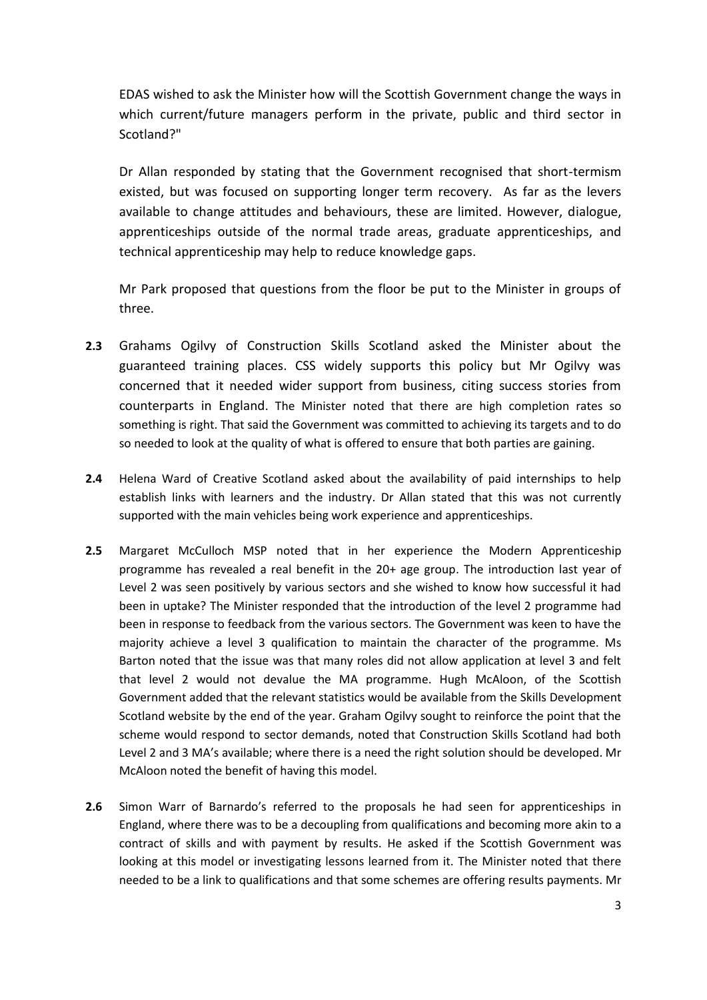EDAS wished to ask the Minister how will the Scottish Government change the ways in which current/future managers perform in the private, public and third sector in Scotland?"

Dr Allan responded by stating that the Government recognised that short-termism existed, but was focused on supporting longer term recovery. As far as the levers available to change attitudes and behaviours, these are limited. However, dialogue, apprenticeships outside of the normal trade areas, graduate apprenticeships, and technical apprenticeship may help to reduce knowledge gaps.

Mr Park proposed that questions from the floor be put to the Minister in groups of three.

- **2.3** Grahams Ogilvy of Construction Skills Scotland asked the Minister about the guaranteed training places. CSS widely supports this policy but Mr Ogilvy was concerned that it needed wider support from business, citing success stories from counterparts in England. The Minister noted that there are high completion rates so something is right. That said the Government was committed to achieving its targets and to do so needed to look at the quality of what is offered to ensure that both parties are gaining.
- **2.4** Helena Ward of Creative Scotland asked about the availability of paid internships to help establish links with learners and the industry. Dr Allan stated that this was not currently supported with the main vehicles being work experience and apprenticeships.
- **2.5** Margaret McCulloch MSP noted that in her experience the Modern Apprenticeship programme has revealed a real benefit in the 20+ age group. The introduction last year of Level 2 was seen positively by various sectors and she wished to know how successful it had been in uptake? The Minister responded that the introduction of the level 2 programme had been in response to feedback from the various sectors. The Government was keen to have the majority achieve a level 3 qualification to maintain the character of the programme. Ms Barton noted that the issue was that many roles did not allow application at level 3 and felt that level 2 would not devalue the MA programme. Hugh McAloon, of the Scottish Government added that the relevant statistics would be available from the Skills Development Scotland website by the end of the year. Graham Ogilvy sought to reinforce the point that the scheme would respond to sector demands, noted that Construction Skills Scotland had both Level 2 and 3 MA's available; where there is a need the right solution should be developed. Mr McAloon noted the benefit of having this model.
- **2.6** Simon Warr of Barnardo's referred to the proposals he had seen for apprenticeships in England, where there was to be a decoupling from qualifications and becoming more akin to a contract of skills and with payment by results. He asked if the Scottish Government was looking at this model or investigating lessons learned from it. The Minister noted that there needed to be a link to qualifications and that some schemes are offering results payments. Mr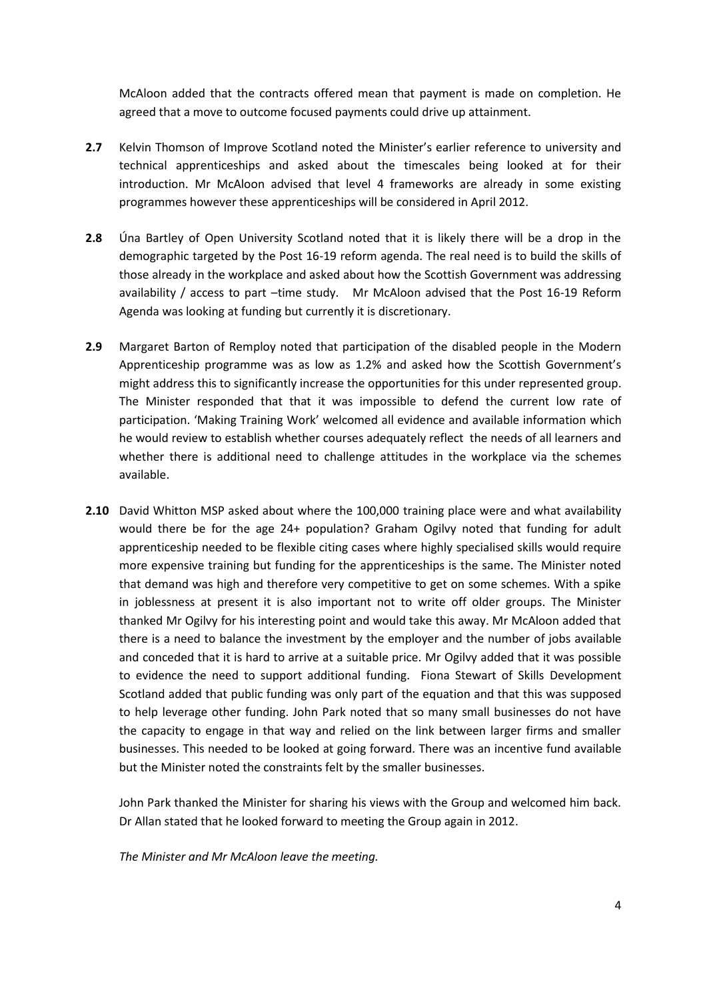McAloon added that the contracts offered mean that payment is made on completion. He agreed that a move to outcome focused payments could drive up attainment.

- **2.7** Kelvin Thomson of Improve Scotland noted the Minister's earlier reference to university and technical apprenticeships and asked about the timescales being looked at for their introduction. Mr McAloon advised that level 4 frameworks are already in some existing programmes however these apprenticeships will be considered in April 2012.
- **2.8** Úna Bartley of Open University Scotland noted that it is likely there will be a drop in the demographic targeted by the Post 16-19 reform agenda. The real need is to build the skills of those already in the workplace and asked about how the Scottish Government was addressing availability / access to part –time study. Mr McAloon advised that the Post 16-19 Reform Agenda was looking at funding but currently it is discretionary.
- **2.9** Margaret Barton of Remploy noted that participation of the disabled people in the Modern Apprenticeship programme was as low as 1.2% and asked how the Scottish Government's might address this to significantly increase the opportunities for this under represented group. The Minister responded that that it was impossible to defend the current low rate of participation. 'Making Training Work' welcomed all evidence and available information which he would review to establish whether courses adequately reflect the needs of all learners and whether there is additional need to challenge attitudes in the workplace via the schemes available.
- **2.10** David Whitton MSP asked about where the 100,000 training place were and what availability would there be for the age 24+ population? Graham Ogilvy noted that funding for adult apprenticeship needed to be flexible citing cases where highly specialised skills would require more expensive training but funding for the apprenticeships is the same. The Minister noted that demand was high and therefore very competitive to get on some schemes. With a spike in joblessness at present it is also important not to write off older groups. The Minister thanked Mr Ogilvy for his interesting point and would take this away. Mr McAloon added that there is a need to balance the investment by the employer and the number of jobs available and conceded that it is hard to arrive at a suitable price. Mr Ogilvy added that it was possible to evidence the need to support additional funding. Fiona Stewart of Skills Development Scotland added that public funding was only part of the equation and that this was supposed to help leverage other funding. John Park noted that so many small businesses do not have the capacity to engage in that way and relied on the link between larger firms and smaller businesses. This needed to be looked at going forward. There was an incentive fund available but the Minister noted the constraints felt by the smaller businesses.

John Park thanked the Minister for sharing his views with the Group and welcomed him back. Dr Allan stated that he looked forward to meeting the Group again in 2012.

*The Minister and Mr McAloon leave the meeting.*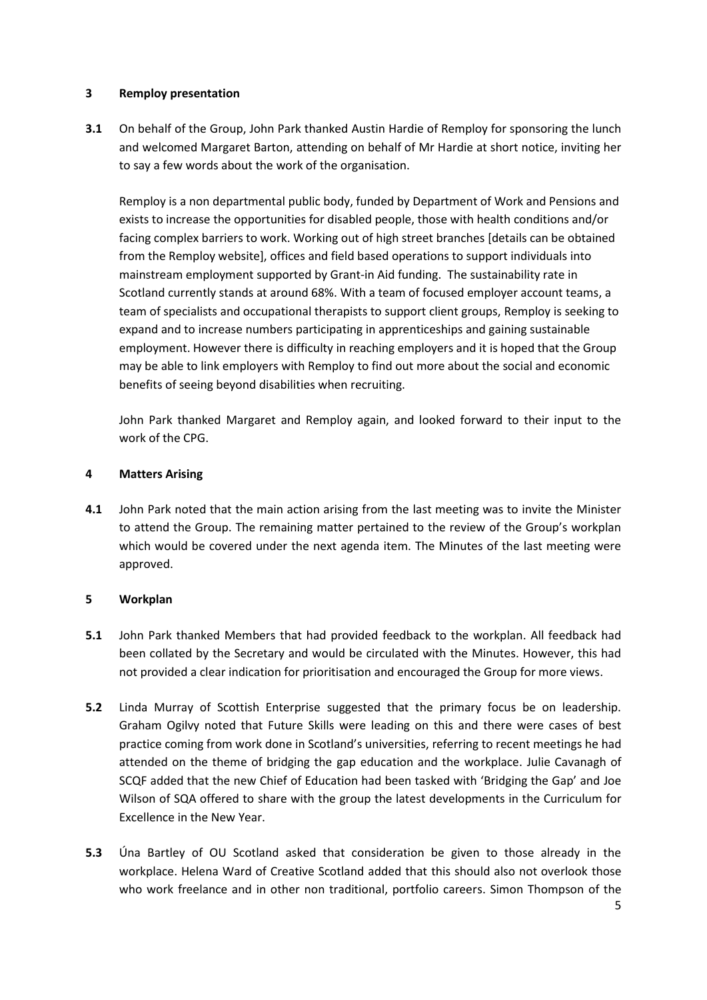#### **3 Remploy presentation**

**3.1** On behalf of the Group, John Park thanked Austin Hardie of Remploy for sponsoring the lunch and welcomed Margaret Barton, attending on behalf of Mr Hardie at short notice, inviting her to say a few words about the work of the organisation.

Remploy is a non departmental public body, funded by Department of Work and Pensions and exists to increase the opportunities for disabled people, those with health conditions and/or facing complex barriers to work. Working out of high street branches [details can be obtained from the Remploy website], offices and field based operations to support individuals into mainstream employment supported by Grant-in Aid funding. The sustainability rate in Scotland currently stands at around 68%. With a team of focused employer account teams, a team of specialists and occupational therapists to support client groups, Remploy is seeking to expand and to increase numbers participating in apprenticeships and gaining sustainable employment. However there is difficulty in reaching employers and it is hoped that the Group may be able to link employers with Remploy to find out more about the social and economic benefits of seeing beyond disabilities when recruiting.

John Park thanked Margaret and Remploy again, and looked forward to their input to the work of the CPG.

#### **4 Matters Arising**

**4.1** John Park noted that the main action arising from the last meeting was to invite the Minister to attend the Group. The remaining matter pertained to the review of the Group's workplan which would be covered under the next agenda item. The Minutes of the last meeting were approved.

#### **5 Workplan**

- **5.1** John Park thanked Members that had provided feedback to the workplan. All feedback had been collated by the Secretary and would be circulated with the Minutes. However, this had not provided a clear indication for prioritisation and encouraged the Group for more views.
- **5.2** Linda Murray of Scottish Enterprise suggested that the primary focus be on leadership. Graham Ogilvy noted that Future Skills were leading on this and there were cases of best practice coming from work done in Scotland's universities, referring to recent meetings he had attended on the theme of bridging the gap education and the workplace. Julie Cavanagh of SCQF added that the new Chief of Education had been tasked with 'Bridging the Gap' and Joe Wilson of SQA offered to share with the group the latest developments in the Curriculum for Excellence in the New Year.
- **5.3** Úna Bartley of OU Scotland asked that consideration be given to those already in the workplace. Helena Ward of Creative Scotland added that this should also not overlook those who work freelance and in other non traditional, portfolio careers. Simon Thompson of the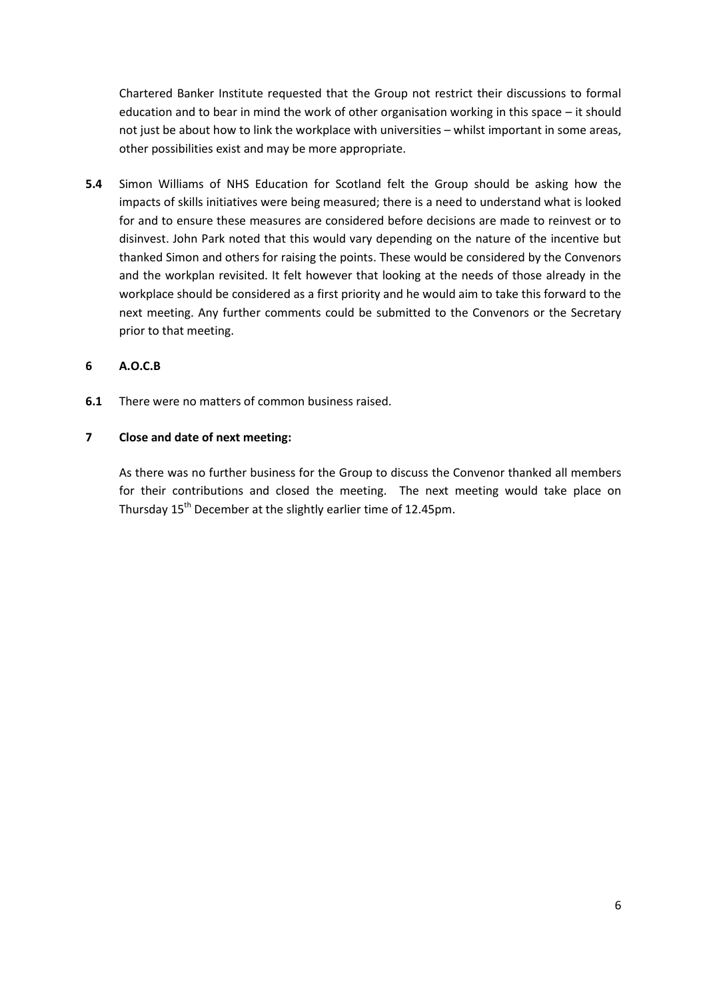Chartered Banker Institute requested that the Group not restrict their discussions to formal education and to bear in mind the work of other organisation working in this space – it should not just be about how to link the workplace with universities – whilst important in some areas, other possibilities exist and may be more appropriate.

**5.4** Simon Williams of NHS Education for Scotland felt the Group should be asking how the impacts of skills initiatives were being measured; there is a need to understand what is looked for and to ensure these measures are considered before decisions are made to reinvest or to disinvest. John Park noted that this would vary depending on the nature of the incentive but thanked Simon and others for raising the points. These would be considered by the Convenors and the workplan revisited. It felt however that looking at the needs of those already in the workplace should be considered as a first priority and he would aim to take this forward to the next meeting. Any further comments could be submitted to the Convenors or the Secretary prior to that meeting.

#### **6 A.O.C.B**

**6.1** There were no matters of common business raised.

#### **7 Close and date of next meeting:**

As there was no further business for the Group to discuss the Convenor thanked all members for their contributions and closed the meeting. The next meeting would take place on Thursday 15<sup>th</sup> December at the slightly earlier time of 12.45pm.